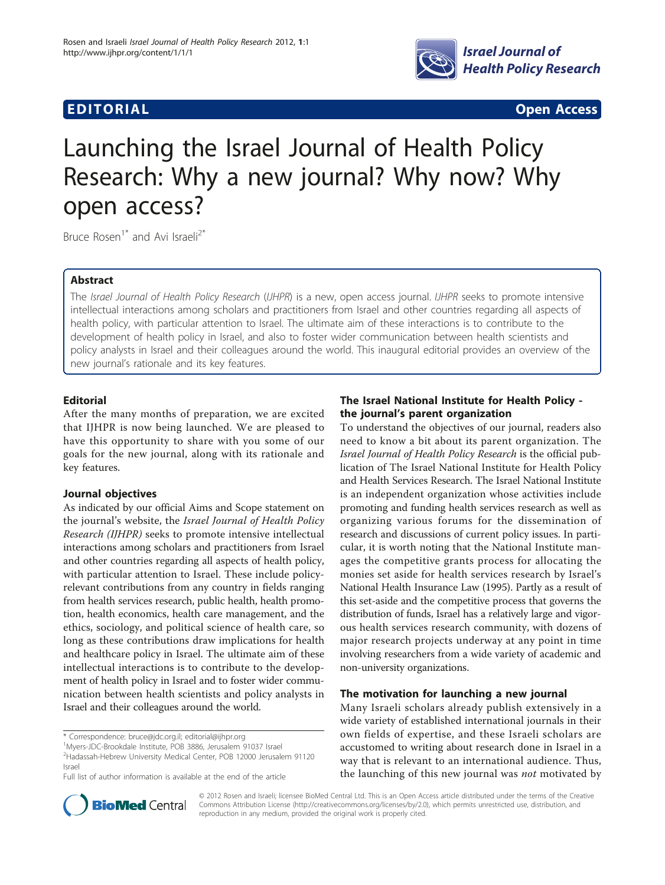# **EDITORIAL CONSUMING CONSUMING CONSUMING CONSUMING CONSUMING CONSUMING CONSUMING CONSUMING CONSUMING CONSUMING**



# Launching the Israel Journal of Health Policy Research: Why a new journal? Why now? Why open access?

Bruce  $Rosen^{1*}$  and Avi Israeli<sup>2\*</sup>

# Abstract

The Israel Journal of Health Policy Research (IJHPR) is a new, open access journal. IJHPR seeks to promote intensive intellectual interactions among scholars and practitioners from Israel and other countries regarding all aspects of health policy, with particular attention to Israel. The ultimate aim of these interactions is to contribute to the development of health policy in Israel, and also to foster wider communication between health scientists and policy analysts in Israel and their colleagues around the world. This inaugural editorial provides an overview of the new journal's rationale and its key features.

# Editorial

After the many months of preparation, we are excited that IJHPR is now being launched. We are pleased to have this opportunity to share with you some of our goals for the new journal, along with its rationale and key features.

### Journal objectives

As indicated by our official Aims and Scope statement on the journal's website, the Israel Journal of Health Policy Research (IJHPR) seeks to promote intensive intellectual interactions among scholars and practitioners from Israel and other countries regarding all aspects of health policy, with particular attention to Israel. These include policyrelevant contributions from any country in fields ranging from health services research, public health, health promotion, health economics, health care management, and the ethics, sociology, and political science of health care, so long as these contributions draw implications for health and healthcare policy in Israel. The ultimate aim of these intellectual interactions is to contribute to the development of health policy in Israel and to foster wider communication between health scientists and policy analysts in Israel and their colleagues around the world.

# The Israel National Institute for Health Policy the journal's parent organization

To understand the objectives of our journal, readers also need to know a bit about its parent organization. The Israel Journal of Health Policy Research is the official publication of The Israel National Institute for Health Policy and Health Services Research. The Israel National Institute is an independent organization whose activities include promoting and funding health services research as well as organizing various forums for the dissemination of research and discussions of current policy issues. In particular, it is worth noting that the National Institute manages the competitive grants process for allocating the monies set aside for health services research by Israel's National Health Insurance Law (1995). Partly as a result of this set-aside and the competitive process that governs the distribution of funds, Israel has a relatively large and vigorous health services research community, with dozens of major research projects underway at any point in time involving researchers from a wide variety of academic and non-university organizations.

### The motivation for launching a new journal

Many Israeli scholars already publish extensively in a wide variety of established international journals in their own fields of expertise, and these Israeli scholars are accustomed to writing about research done in Israel in a way that is relevant to an international audience. Thus, the launching of this new journal was not motivated by



© 2012 Rosen and Israeli; licensee BioMed Central Ltd. This is an Open Access article distributed under the terms of the Creative Commons Attribution License [\(http://creativecommons.org/licenses/by/2.0](http://creativecommons.org/licenses/by/2.0)), which permits unrestricted use, distribution, and reproduction in any medium, provided the original work is properly cited.

<sup>\*</sup> Correspondence: [bruce@jdc.org.il](mailto:bruce@jdc.org.il); [editorial@ijhpr.org](mailto:editorial@ijhpr.org)

<sup>1</sup> Myers-JDC-Brookdale Institute, POB 3886, Jerusalem 91037 Israel

<sup>2</sup> Hadassah-Hebrew University Medical Center, POB 12000 Jerusalem 91120 Israel

Full list of author information is available at the end of the article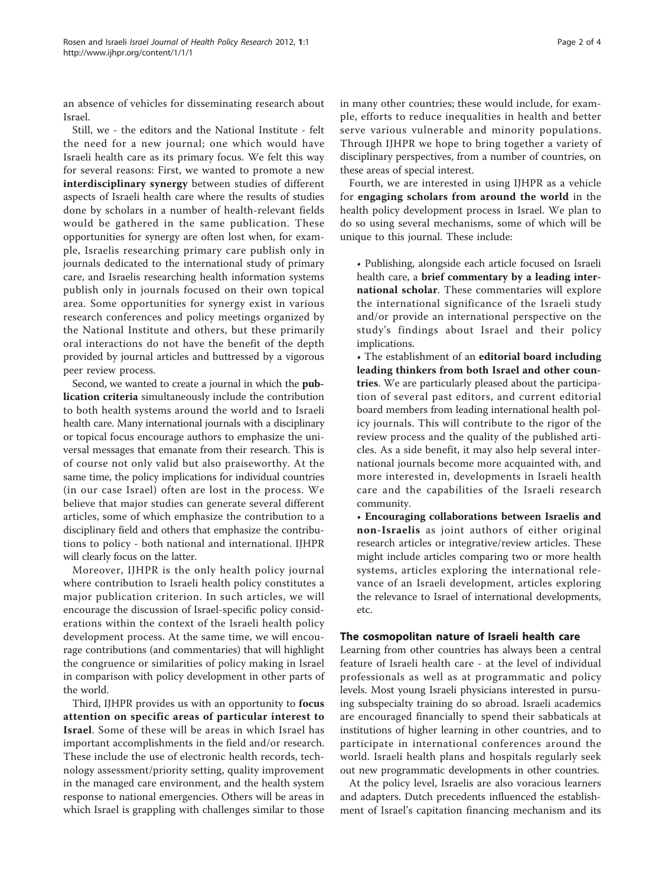an absence of vehicles for disseminating research about Israel.

Still, we - the editors and the National Institute - felt the need for a new journal; one which would have Israeli health care as its primary focus. We felt this way for several reasons: First, we wanted to promote a new interdisciplinary synergy between studies of different aspects of Israeli health care where the results of studies done by scholars in a number of health-relevant fields would be gathered in the same publication. These opportunities for synergy are often lost when, for example, Israelis researching primary care publish only in journals dedicated to the international study of primary care, and Israelis researching health information systems publish only in journals focused on their own topical area. Some opportunities for synergy exist in various research conferences and policy meetings organized by the National Institute and others, but these primarily oral interactions do not have the benefit of the depth provided by journal articles and buttressed by a vigorous peer review process.

Second, we wanted to create a journal in which the publication criteria simultaneously include the contribution to both health systems around the world and to Israeli health care. Many international journals with a disciplinary or topical focus encourage authors to emphasize the universal messages that emanate from their research. This is of course not only valid but also praiseworthy. At the same time, the policy implications for individual countries (in our case Israel) often are lost in the process. We believe that major studies can generate several different articles, some of which emphasize the contribution to a disciplinary field and others that emphasize the contributions to policy - both national and international. IJHPR will clearly focus on the latter.

Moreover, IJHPR is the only health policy journal where contribution to Israeli health policy constitutes a major publication criterion. In such articles, we will encourage the discussion of Israel-specific policy considerations within the context of the Israeli health policy development process. At the same time, we will encourage contributions (and commentaries) that will highlight the congruence or similarities of policy making in Israel in comparison with policy development in other parts of the world.

Third, IJHPR provides us with an opportunity to focus attention on specific areas of particular interest to Israel. Some of these will be areas in which Israel has important accomplishments in the field and/or research. These include the use of electronic health records, technology assessment/priority setting, quality improvement in the managed care environment, and the health system response to national emergencies. Others will be areas in which Israel is grappling with challenges similar to those in many other countries; these would include, for example, efforts to reduce inequalities in health and better serve various vulnerable and minority populations. Through IJHPR we hope to bring together a variety of disciplinary perspectives, from a number of countries, on these areas of special interest.

Fourth, we are interested in using IJHPR as a vehicle for engaging scholars from around the world in the health policy development process in Israel. We plan to do so using several mechanisms, some of which will be unique to this journal. These include:

• Publishing, alongside each article focused on Israeli health care, a brief commentary by a leading international scholar. These commentaries will explore the international significance of the Israeli study and/or provide an international perspective on the study's findings about Israel and their policy implications.

• The establishment of an editorial board including leading thinkers from both Israel and other countries. We are particularly pleased about the participation of several past editors, and current editorial board members from leading international health policy journals. This will contribute to the rigor of the review process and the quality of the published articles. As a side benefit, it may also help several international journals become more acquainted with, and more interested in, developments in Israeli health care and the capabilities of the Israeli research community.

• Encouraging collaborations between Israelis and non-Israelis as joint authors of either original research articles or integrative/review articles. These might include articles comparing two or more health systems, articles exploring the international relevance of an Israeli development, articles exploring the relevance to Israel of international developments, etc.

#### The cosmopolitan nature of Israeli health care

Learning from other countries has always been a central feature of Israeli health care - at the level of individual professionals as well as at programmatic and policy levels. Most young Israeli physicians interested in pursuing subspecialty training do so abroad. Israeli academics are encouraged financially to spend their sabbaticals at institutions of higher learning in other countries, and to participate in international conferences around the world. Israeli health plans and hospitals regularly seek out new programmatic developments in other countries.

At the policy level, Israelis are also voracious learners and adapters. Dutch precedents influenced the establishment of Israel's capitation financing mechanism and its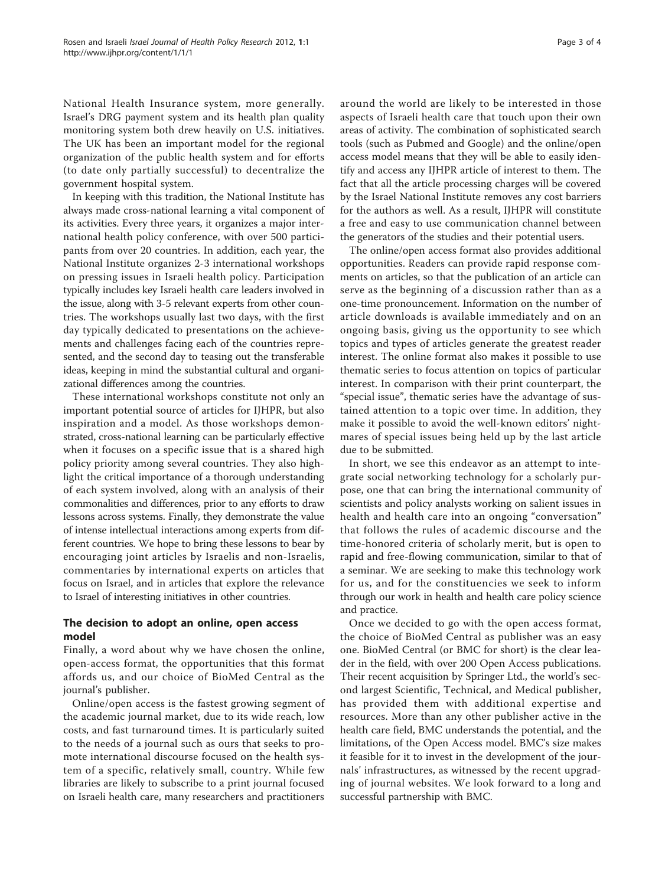National Health Insurance system, more generally. Israel's DRG payment system and its health plan quality monitoring system both drew heavily on U.S. initiatives. The UK has been an important model for the regional organization of the public health system and for efforts (to date only partially successful) to decentralize the government hospital system.

In keeping with this tradition, the National Institute has always made cross-national learning a vital component of its activities. Every three years, it organizes a major international health policy conference, with over 500 participants from over 20 countries. In addition, each year, the National Institute organizes 2-3 international workshops on pressing issues in Israeli health policy. Participation typically includes key Israeli health care leaders involved in the issue, along with 3-5 relevant experts from other countries. The workshops usually last two days, with the first day typically dedicated to presentations on the achievements and challenges facing each of the countries represented, and the second day to teasing out the transferable ideas, keeping in mind the substantial cultural and organizational differences among the countries.

These international workshops constitute not only an important potential source of articles for IJHPR, but also inspiration and a model. As those workshops demonstrated, cross-national learning can be particularly effective when it focuses on a specific issue that is a shared high policy priority among several countries. They also highlight the critical importance of a thorough understanding of each system involved, along with an analysis of their commonalities and differences, prior to any efforts to draw lessons across systems. Finally, they demonstrate the value of intense intellectual interactions among experts from different countries. We hope to bring these lessons to bear by encouraging joint articles by Israelis and non-Israelis, commentaries by international experts on articles that focus on Israel, and in articles that explore the relevance to Israel of interesting initiatives in other countries.

### The decision to adopt an online, open access model

Finally, a word about why we have chosen the online, open-access format, the opportunities that this format affords us, and our choice of BioMed Central as the journal's publisher.

Online/open access is the fastest growing segment of the academic journal market, due to its wide reach, low costs, and fast turnaround times. It is particularly suited to the needs of a journal such as ours that seeks to promote international discourse focused on the health system of a specific, relatively small, country. While few libraries are likely to subscribe to a print journal focused on Israeli health care, many researchers and practitioners

around the world are likely to be interested in those aspects of Israeli health care that touch upon their own areas of activity. The combination of sophisticated search tools (such as Pubmed and Google) and the online/open access model means that they will be able to easily identify and access any IJHPR article of interest to them. The fact that all the article processing charges will be covered by the Israel National Institute removes any cost barriers for the authors as well. As a result, IJHPR will constitute a free and easy to use communication channel between the generators of the studies and their potential users.

The online/open access format also provides additional opportunities. Readers can provide rapid response comments on articles, so that the publication of an article can serve as the beginning of a discussion rather than as a one-time pronouncement. Information on the number of article downloads is available immediately and on an ongoing basis, giving us the opportunity to see which topics and types of articles generate the greatest reader interest. The online format also makes it possible to use thematic series to focus attention on topics of particular interest. In comparison with their print counterpart, the "special issue", thematic series have the advantage of sustained attention to a topic over time. In addition, they make it possible to avoid the well-known editors' nightmares of special issues being held up by the last article due to be submitted.

In short, we see this endeavor as an attempt to integrate social networking technology for a scholarly purpose, one that can bring the international community of scientists and policy analysts working on salient issues in health and health care into an ongoing "conversation" that follows the rules of academic discourse and the time-honored criteria of scholarly merit, but is open to rapid and free-flowing communication, similar to that of a seminar. We are seeking to make this technology work for us, and for the constituencies we seek to inform through our work in health and health care policy science and practice.

Once we decided to go with the open access format, the choice of BioMed Central as publisher was an easy one. BioMed Central (or BMC for short) is the clear leader in the field, with over 200 Open Access publications. Their recent acquisition by Springer Ltd., the world's second largest Scientific, Technical, and Medical publisher, has provided them with additional expertise and resources. More than any other publisher active in the health care field, BMC understands the potential, and the limitations, of the Open Access model. BMC's size makes it feasible for it to invest in the development of the journals' infrastructures, as witnessed by the recent upgrading of journal websites. We look forward to a long and successful partnership with BMC.